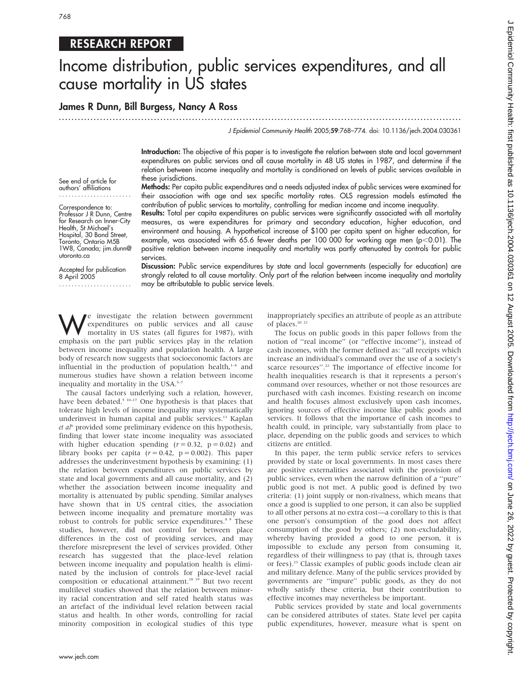## RESEARCH REPORT

# Income distribution, public services expenditures, and all cause mortality in US states

## James R Dunn, Bill Burgess, Nancy A Ross

...............................................................................................................................

J Epidemiol Community Health 2005;59:768–774. doi: 10.1136/jech.2004.030361

Introduction: The objective of this paper is to investigate the relation between state and local government expenditures on public services and all cause mortality in 48 US states in 1987, and determine if the relation between income inequality and mortality is conditioned on levels of public services available in these jurisdictions.

Methods: Per capita public expenditures and a needs adjusted index of public services were examined for their association with age and sex specific mortality rates. OLS regression models estimated the contribution of public services to mortality, controlling for median income and income inequality.

Results: Total per capita expenditures on public services were significantly associated with all mortality measures, as were expenditures for primary and secondary education, higher education, and environment and housing. A hypothetical increase of \$100 per capita spent on higher education, for example, was associated with 65.6 fewer deaths per 100 000 for working age men ( $p$ <0.01). The positive relation between income inequality and mortality was partly attenuated by controls for public services.

Accepted for publication 8 April 2005 .......................

utoronto.ca

See end of article for authors' affiliations ....................... Correspondence to: Professor J R Dunn, Centre for Research on Inner-City Health, St Michael's Hospital, 30 Bond Street, Toronto, Ontario M5B 1W8, Canada; jim.dunn@

> Discussion: Public service expenditures by state and local governments (especially for education) are strongly related to all cause mortality. Only part of the relation between income inequality and mortality may be attributable to public service levels.

We investigate the relation between government<br>expenditures on public services and all cause<br>mortality in US states (all figures for 1987), with expenditures on public services and all cause mortality in US states (all figures for 1987), with emphasis on the part public services play in the relation between income inequality and population health. A large body of research now suggests that socioeconomic factors are influential in the production of population health, $1-4$  and numerous studies have shown a relation between income inequality and mortality in the USA.<sup>5-7</sup>

The causal factors underlying such a relation, however, have been debated.<sup>5 10–17</sup> One hypothesis is that places that tolerate high levels of income inequality may systematically underinvest in human capital and public services.<sup>13</sup> Kaplan et al<sup>6</sup> provided some preliminary evidence on this hypothesis, finding that lower state income inequality was associated with higher education spending  $(r = 0.32, p = 0.02)$  and library books per capita  $(r = 0.42, p = 0.002)$ . This paper addresses the underinvestment hypothesis by examining: (1) the relation between expenditures on public services by state and local governments and all cause mortality, and (2) whether the association between income inequality and mortality is attenuated by public spending. Similar analyses have shown that in US central cities, the association between income inequality and premature mortality was robust to controls for public service expenditures.<sup>8</sup> <sup>9</sup> These studies, however, did not control for between place differences in the cost of providing services, and may therefore misrepresent the level of services provided. Other research has suggested that the place-level relation between income inequality and population health is eliminated by the inclusion of controls for place-level racial composition or educational attainment.<sup>18 19</sup> But two recent multilevel studies showed that the relation between minority racial concentration and self rated health status was an artefact of the individual level relation between racial status and health. In other words, controlling for racial minority composition in ecological studies of this type

inappropriately specifies an attribute of people as an attribute of places.<sup>20</sup><sup>21</sup>

The focus on public goods in this paper follows from the notion of ''real income'' (or ''effective income''), instead of cash incomes, with the former defined as: ''all receipts which increase an individual's command over the use of a society's scarce resources".<sup>22</sup> The importance of effective income for health inequalities research is that it represents a person's command over resources, whether or not those resources are purchased with cash incomes. Existing research on income and health focuses almost exclusively upon cash incomes, ignoring sources of effective income like public goods and services. It follows that the importance of cash incomes to health could, in principle, vary substantially from place to place, depending on the public goods and services to which citizens are entitled.

In this paper, the term public service refers to services provided by state or local governments. In most cases there are positive externalities associated with the provision of public services, even when the narrow definition of a ''pure'' public good is not met. A public good is defined by two criteria: (1) joint supply or non-rivalness, which means that once a good is supplied to one person, it can also be supplied to all other persons at no extra cost—a corollary to this is that one person's consumption of the good does not affect consumption of the good by others; (2) non-excludability, whereby having provided a good to one person, it is impossible to exclude any person from consuming it, regardless of their willingness to pay (that is, through taxes or fees).<sup>23</sup> Classic examples of public goods include clean air and military defence. Many of the public services provided by governments are ''impure'' public goods, as they do not wholly satisfy these criteria, but their contribution to effective incomes may nevertheless be important.

Public services provided by state and local governments can be considered attributes of states. State level per capita public expenditures, however, measure what is spent on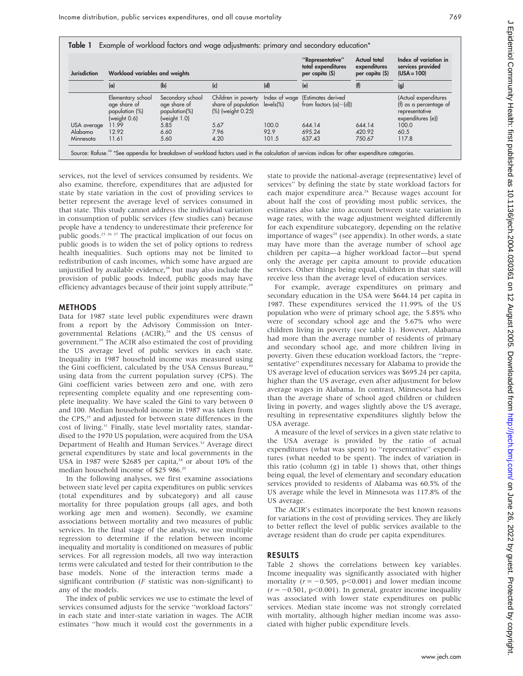| <b>Jurisdiction</b> | Workload variables and weights                                         |                                                                      |                                                                           | "Representative"<br>total expenditures<br>per capita (\$) | Actual total<br>expenditures<br>per capita (\$) | Index of variation in<br>services provided<br>$(USA = 100)$ |                                                                                       |
|---------------------|------------------------------------------------------------------------|----------------------------------------------------------------------|---------------------------------------------------------------------------|-----------------------------------------------------------|-------------------------------------------------|-------------------------------------------------------------|---------------------------------------------------------------------------------------|
|                     | (a)                                                                    | (b)                                                                  | (c)                                                                       | (d)                                                       | (e)                                             | (f)                                                         | (g)                                                                                   |
|                     | Elementary school<br>age share of<br>population (%)<br>(weight $0.6$ ) | Secondary school<br>age share of<br>population(%)<br>(weight $1.0$ ) | Children in poverty<br>share of population levels(%)<br>(%) (weight 0.25) | Index of wage                                             | (Estimates derived<br>from factors $(a) - (d)$  |                                                             | (Actual expenditures<br>(f) as a percentage of<br>representative<br>expenditures (e)) |
| USA average         | 11.99                                                                  | 5.85                                                                 | 5.67                                                                      | 100.0                                                     | 644.14                                          | 644.14                                                      | 100.0                                                                                 |
| Alabama             | 12.92                                                                  | 6.60                                                                 | 7.96                                                                      | 92.9                                                      | 695.24                                          | 420.92                                                      | 60.5                                                                                  |
| Minnesota           | 11.61                                                                  | 5.60                                                                 | 4.20                                                                      | 101.5                                                     | 637.43                                          | 750.67                                                      | 117.8                                                                                 |

services, not the level of services consumed by residents. We also examine, therefore, expenditures that are adjusted for state by state variation in the cost of providing services to better represent the average level of services consumed in that state. This study cannot address the individual variation in consumption of public services (few studies can) because people have a tendency to underestimate their preference for public goods.23 26 27 The practical implication of our focus on public goods is to widen the set of policy options to redress health inequalities. Such options may not be limited to redistribution of cash incomes, which some have argued are unjustified by available evidence, $28$  but may also include the provision of public goods. Indeed, public goods may have efficiency advantages because of their joint supply attribute.<sup>29</sup>

## METHODS

Data for 1987 state level public expenditures were drawn from a report by the Advisory Commission on Intergovernmental Relations (ACIR),<sup>24</sup> and the US census of government.<sup>29</sup> The ACIR also estimated the cost of providing the US average level of public services in each state. Inequality in 1987 household income was measured using the Gini coefficient, calculated by the USA Census Bureau,<sup>30</sup> using data from the current population survey (CPS). The Gini coefficient varies between zero and one, with zero representing complete equality and one representing complete inequality. We have scaled the Gini to vary between 0 and 100. Median household income in 1987 was taken from the CPS,<sup>25</sup> and adjusted for between state differences in the cost of living.<sup>31</sup> Finally, state level mortality rates, standardised to the 1970 US population, were acquired from the USA Department of Health and Human Services.<sup>32</sup> Average direct general expenditures by state and local governments in the USA in 1987 were \$2685 per capita, $24$  or about 10% of the median household income of \$25 986.25

In the following analyses, we first examine associations between state level per capita expenditures on public services (total expenditures and by subcategory) and all cause mortality for three population groups (all ages, and both working age men and women). Secondly, we examine associations between mortality and two measures of public services. In the final stage of the analysis, we use multiple regression to determine if the relation between income inequality and mortality is conditioned on measures of public services. For all regression models, all two way interaction terms were calculated and tested for their contribution to the base models. None of the interaction terms made a significant contribution ( $F$  statistic was non-significant) to any of the models.

The index of public services we use to estimate the level of services consumed adjusts for the service ''workload factors'' in each state and inter-state variation in wages. The ACIR estimates ''how much it would cost the governments in a

state to provide the national-average (representative) level of services'' by defining the state by state workload factors for each major expenditure area.<sup>24</sup> Because wages account for about half the cost of providing most public services, the estimates also take into account between state variation in wage rates, with the wage adjustment weighted differently for each expenditure subcategory, depending on the relative importance of wages<sup>24</sup> (see appendix). In other words, a state may have more than the average number of school age children per capita—a higher workload factor—but spend only the average per capita amount to provide education services. Other things being equal, children in that state will receive less than the average level of education services.

For example, average expenditures on primary and secondary education in the USA were \$644.14 per capita in 1987. These expenditures serviced the 11.99% of the US population who were of primary school age, the 5.85% who were of secondary school age and the 5.67% who were children living in poverty (see table 1). However, Alabama had more than the average number of residents of primary and secondary school age, and more children living in poverty. Given these education workload factors, the ''representative'' expenditures necessary for Alabama to provide the US average level of education services was \$695.24 per capita, higher than the US average, even after adjustment for below average wages in Alabama. In contrast, Minnesota had less than the average share of school aged children or children living in poverty, and wages slightly above the US average, resulting in representative expenditures slightly below the USA average.

A measure of the level of services in a given state relative to the USA average is provided by the ratio of actual expenditures (what was spent) to ''representative'' expenditures (what needed to be spent). The index of variation in this ratio (column (g) in table 1) shows that, other things being equal, the level of elementary and secondary education services provided to residents of Alabama was 60.5% of the US average while the level in Minnesota was 117.8% of the US average.

The ACIR's estimates incorporate the best known reasons for variations in the cost of providing services. They are likely to better reflect the level of public services available to the average resident than do crude per capita expenditures.

## RESULTS

Table 2 shows the correlations between key variables. Income inequality was significantly associated with higher mortality ( $r = -0.505$ , p $<0.001$ ) and lower median income  $(r = -0.501, p<0.001)$ . In general, greater income inequality was associated with lower state expenditures on public services. Median state income was not strongly correlated with mortality, although higher median income was associated with higher public expenditure levels.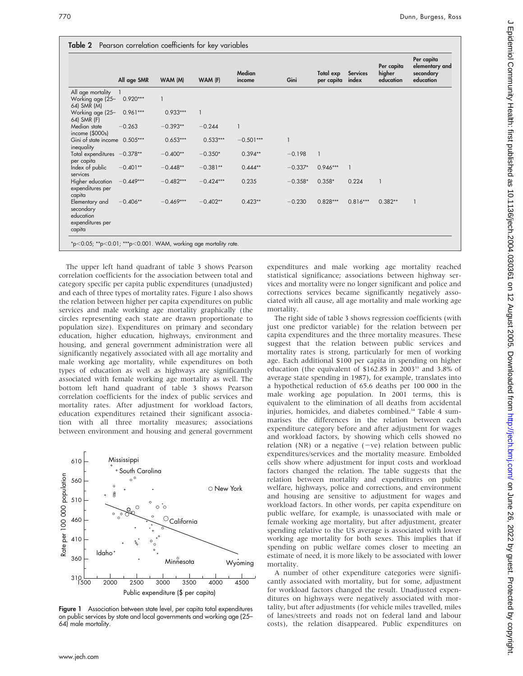|                                                                        | All age SMR | WAM (M)     | WAM (F)     | Median<br>income | Gini      | Total exp<br>per capita | <b>Services</b><br>index | Per capita<br>higher<br>education | Per capita<br>elementary and<br>secondary<br>education |
|------------------------------------------------------------------------|-------------|-------------|-------------|------------------|-----------|-------------------------|--------------------------|-----------------------------------|--------------------------------------------------------|
| All age mortality                                                      |             |             |             |                  |           |                         |                          |                                   |                                                        |
| Working age (25-<br>64) SMR (M)                                        | $0.920***$  |             |             |                  |           |                         |                          |                                   |                                                        |
| Working age (25-<br>64) SMR (F)                                        | $0.961***$  | $0.933***$  |             |                  |           |                         |                          |                                   |                                                        |
| Median state<br>income (\$000s)                                        | $-0.263$    | $-0.393**$  | $-0.244$    |                  |           |                         |                          |                                   |                                                        |
| Gini of state income 0.505***<br>inequality                            |             | $0.653***$  | $0.533***$  | $-0.501***$      |           |                         |                          |                                   |                                                        |
| Total expenditures -0.378**<br>per capita                              |             | $-0.400**$  | $-0.350*$   | $0.394**$        | $-0.198$  |                         |                          |                                   |                                                        |
| Index of public<br>services                                            | $-0.401**$  | $-0.448**$  | $-0.381**$  | $0.444**$        | $-0.337*$ | $0.946***$              |                          |                                   |                                                        |
| Higher education<br>expenditures per<br>capita                         | $-0.449***$ | $-0.482***$ | $-0.424***$ | 0.235            | $-0.358*$ | $0.358*$                | 0.224                    | $\mathbf{1}$                      |                                                        |
| Elementary and<br>secondary<br>education<br>expenditures per<br>capita | $-0.406**$  | $-0.469***$ | $-0.402**$  | $0.423**$        | $-0.230$  | $0.828***$              | $0.816***$               | $0.382**$                         |                                                        |

The upper left hand quadrant of table 3 shows Pearson correlation coefficients for the association between total and category specific per capita public expenditures (unadjusted) and each of three types of mortality rates. Figure 1 also shows the relation between higher per capita expenditures on public services and male working age mortality graphically (the circles representing each state are drawn proportionate to population size). Expenditures on primary and secondary education, higher education, highways, environment and housing, and general government administration were all significantly negatively associated with all age mortality and male working age mortality, while expenditures on both types of education as well as highways are significantly associated with female working age mortality as well. The bottom left hand quadrant of table 3 shows Pearson correlation coefficients for the index of public services and mortality rates. After adjustment for workload factors, education expenditures retained their significant association with all three mortality measures; associations between environment and housing and general government



Figure 1 Association between state level, per capita total expenditures on public services by state and local governments and working age (25– 64) male mortality.

expenditures and male working age mortality reached statistical significance; associations between highway services and mortality were no longer significant and police and corrections services became significantly negatively associated with all cause, all age mortality and male working age mortality.

The right side of table 3 shows regression coefficients (with just one predictor variable) for the relation between per capita expenditures and the three mortality measures. These suggest that the relation between public services and mortality rates is strong, particularly for men of working age. Each additional \$100 per capita in spending on higher education (the equivalent of \$162.85 in 2003<sup>33</sup> and 3.8% of average state spending in 1987), for example, translates into a hypothetical reduction of 65.6 deaths per 100 000 in the male working age population. In 2001 terms, this is equivalent to the elimination of all deaths from accidental injuries, homicides, and diabetes combined.<sup>34</sup> Table 4 summarises the differences in the relation between each expenditure category before and after adjustment for wages and workload factors, by showing which cells showed no relation (NR) or a negative  $(-ve)$  relation between public expenditures/services and the mortality measure. Embolded cells show where adjustment for input costs and workload factors changed the relation. The table suggests that the relation between mortality and expenditures on public welfare, highways, police and corrections, and environment and housing are sensitive to adjustment for wages and workload factors. In other words, per capita expenditure on public welfare, for example, is unassociated with male or female working age mortality, but after adjustment, greater spending relative to the US average is associated with lower working age mortality for both sexes. This implies that if spending on public welfare comes closer to meeting an estimate of need, it is more likely to be associated with lower mortality.

A number of other expenditure categories were significantly associated with mortality, but for some, adjustment for workload factors changed the result. Unadjusted expenditures on highways were negatively associated with mortality, but after adjustments (for vehicle miles travelled, miles of lanes/streets and roads not on federal land and labour costs), the relation disappeared. Public expenditures on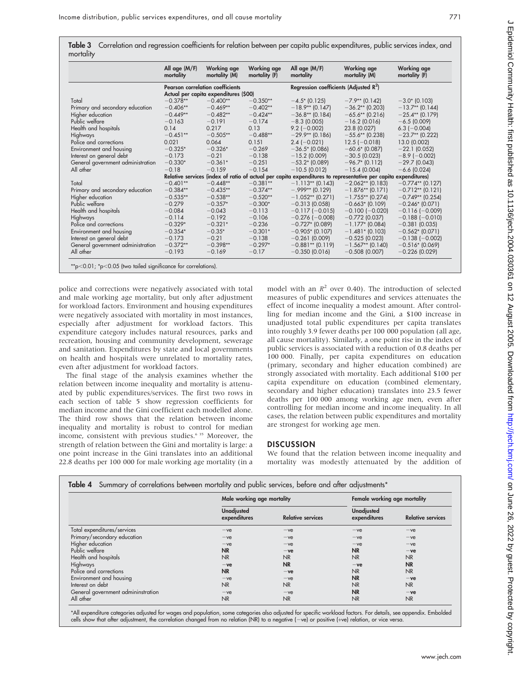|                                   | All age $(M/F)$<br>mortality | Working age<br>mortality (M)            | Working age<br>mortality (F) | All age (M/F)<br>mortality                                                                                     | Working age<br>mortality (M) | Working age<br>mortality (F) |
|-----------------------------------|------------------------------|-----------------------------------------|------------------------------|----------------------------------------------------------------------------------------------------------------|------------------------------|------------------------------|
|                                   |                              | <b>Pearson correlation coefficients</b> |                              | Regression coefficients (Adjusted $R^2$ )                                                                      |                              |                              |
|                                   |                              | Actual per capita expenditures (\$00)   |                              |                                                                                                                |                              |                              |
| Total                             | $-0.378**$                   | $-0.400**$                              | $-0.350**$                   | $-4.5$ * (0.125)                                                                                               | $-7.9**$ (0.142)             | $-3.0*$ (0.103)              |
| Primary and secondary education   | $-0.406**$                   | $-0.469**$                              | $-0.402**$                   | $-18.9**$ (0.147)                                                                                              | $-36.2**$ (0.203)            | $-13.7**$ (0.144)            |
| Higher education                  | $-0.449**$                   | $-0.482**$                              | $-0.424**$                   | $-36.8**$ (0.184)                                                                                              | $-65.6**$ (0.216)            | $-25.4**$ (0.179)            |
| Public welfare                    | $-0.163$                     | $-0.191$                                | $-0.174$                     | $-8.3$ (0.005)                                                                                                 | $-16.2$ (0.016)              | $-6.5(0.009)$                |
| Health and hospitals              | 0.14                         | 0.217                                   | 0.13                         | $9.2$ (-0.002)                                                                                                 | 23.8 (0.027)                 | $6.3$ (-0.004)               |
| <b>Highways</b>                   | $-0.451**$                   | $-0.505**$                              | $-0.488**$                   | $-29.9**$ (0.186)                                                                                              | $-55.6**$ (0.238)            | $-23.7**$ (0.222)            |
| Police and corrections            | 0.021                        | 0.064                                   | 0.151                        | $2.4 (-0.021)$                                                                                                 | $12.5(-0.018)$               | 13.0 (0.002)                 |
| Environment and housing           | $-0.325*$                    | $-0.326*$                               | $-0.269$                     | $-36.5*$ (0.086)                                                                                               | $-60.6*$ (0.087)             | $-22.1$ (0.052)              |
| Interest on general debt          | $-0.173$                     | $-0.21$                                 | $-0.138$                     | $-15.2$ (0.009)                                                                                                | $-30.5(0.023)$               | $-8.9$ ( $-0.002$ )          |
| General government administration | $-0.330*$                    | $-0.361*$                               | $-0.251$                     | $-53.2*$ (0.089)                                                                                               | $-96.7*$ (0.112)             | $-29.7(0.043)$               |
| All other                         | $-0.18$                      | $-0.159$                                | $-0.154$                     | $-10.5$ (0.012)                                                                                                | $-15.4(0.004)$               | $-6.6$ (0.024)               |
|                                   |                              |                                         |                              | Relative services (index of ratio of actual per capita expenditures to representative per capita expenditures) |                              |                              |
| Total                             | $-0.401**$                   | $-0.448**$                              | $-0.381**$                   | $-1.113**$ (0.143)                                                                                             | $-2.062**$ (0.183)           | $-0.774**$ (0.127)           |
| Primary and secondary education   | $-0.384**$                   | $-0.435**$                              | $-0.374**$                   | $-.999**$ (0.129)                                                                                              | $-1.876**$ (0.171)           | $-0.712**$ (0.121)           |
| Higher education                  | $-0.535**$                   | $-0.538**$                              | $-0.520**$                   | $-1.052**$ (0.271)                                                                                             | $-1.755**$ (0.274)           | $-0.749**$ (0.254)           |
| Public welfare                    | $-0.279$                     | $-0.357*$                               | $-0.300*$                    | $-0.313(0.058)$                                                                                                | $-0.663$ * (0.109)           | $-0.246*(0.071)$             |
| Health and hospitals              | $-0.084$                     | $-0.043$                                | $-0.113$                     | $-0.117(-0.015)$                                                                                               | $-0.100$ ( $-0.020$ )        | $-0.116(-0.009)$             |
| <b>Highways</b>                   | $-0.114$                     | $-0.192$                                | $-0.106$                     | $-0.276$ ( $-0.008$ )                                                                                          | $-0.772$ (0.037)             | $-0.188(-0.010)$             |
| Police and corrections            | $-0.329*$                    | $-0.321*$                               | $-0.236$                     | $-0.727*$ (0.089)                                                                                              | $-1.177$ * (0.084)           | $-0.381(0.035)$              |
| Environment and housing           | $-0.354*$                    | $-0.35*$                                | $-0.301*$                    | $-0.905$ * (0.107)                                                                                             | $-1.481*$ (0.103)            | $-0.562$ (0.071)             |
| Interest on general debt          | $-0.173$                     | $-0.21$                                 | $-0.138$                     | $-0.261(0.009)$                                                                                                | $-0.525(0.023)$              | $-0.138$ ( $-0.002$ )        |
| General government administration | $-0.372**$                   | $-0.398**$                              | $-0.297*$                    | $-0.881**$ (0.119)                                                                                             | $-1.567**$ (0.140)           | $-0.516*$ (0.069)            |
| All other                         | $-0.193$                     | $-0.169$                                | $-0.17$                      | $-0.350$ (0.016)                                                                                               | $-0.508$ (0.007)             | $-0.226$ (0.029)             |

police and corrections were negatively associated with total and male working age mortality, but only after adjustment for workload factors. Environment and housing expenditures were negatively associated with mortality in most instances, especially after adjustment for workload factors. This expenditure category includes natural resources, parks and recreation, housing and community development, sewerage and sanitation. Expenditures by state and local governments on health and hospitals were unrelated to mortality rates, even after adjustment for workload factors.

The final stage of the analysis examines whether the relation between income inequality and mortality is attenuated by public expenditures/services. The first two rows in each section of table 5 show regression coefficients for median income and the Gini coefficient each modelled alone. The third row shows that the relation between income inequality and mortality is robust to control for median income, consistent with previous studies.6 35 Moreover, the strength of relation between the Gini and mortality is large: a one point increase in the Gini translates into an additional 22.8 deaths per 100 000 for male working age mortality (in a

model with an  $R^2$  over 0.40). The introduction of selected measures of public expenditures and services attenuates the effect of income inequality a modest amount. After controlling for median income and the Gini, a \$100 increase in unadjusted total public expenditures per capita translates into roughly 3.9 fewer deaths per 100 000 population (all age, all cause mortality). Similarly, a one point rise in the index of public services is associated with a reduction of 0.8 deaths per 100 000. Finally, per capita expenditures on education (primary, secondary and higher education combined) are strongly associated with mortality. Each additional \$100 per capita expenditure on education (combined elementary, secondary and higher education) translates into 23.5 fewer deaths per 100 000 among working age men, even after controlling for median income and income inequality. In all cases, the relation between public expenditures and mortality are strongest for working age men.

## **DISCUSSION**

We found that the relation between income inequality and mortality was modestly attenuated by the addition of

|                                    | Male working age mortality        |                          | Female working age mortality      |                          |  |
|------------------------------------|-----------------------------------|--------------------------|-----------------------------------|--------------------------|--|
|                                    | <b>Unadjusted</b><br>expenditures | <b>Relative services</b> | <b>Unadjusted</b><br>expenditures | <b>Relative services</b> |  |
| Total expenditures/services        | $-ve$                             | $-ve$                    | $-ve$                             | $-ve$                    |  |
| Primary/secondary education        | $-ve$                             | $-ve$                    | $-ve$                             | $-ve$                    |  |
| Higher education                   | $-ve$                             | $-ve$                    | $-ve$                             | $-ve$                    |  |
| Public welfare                     | <b>NR</b>                         | $-ve$                    | <b>NR</b>                         | $-ve$                    |  |
| Health and hospitals               | N <sub>R</sub>                    | NR                       | NR                                | NR                       |  |
| Highways                           | $-ve$                             | <b>NR</b>                | $-ve$                             | <b>NR</b>                |  |
| Police and corrections             | <b>NR</b>                         | $-ve$                    | NR                                | NR                       |  |
| Environment and housing            | $-ve$                             | $-ve$                    | <b>NR</b>                         | $-ve$                    |  |
| Interest on debt                   | <b>NR</b>                         | <b>NR</b>                | NR                                | NR                       |  |
| General government admininstration | $-ve$                             | $-ve$                    | <b>NR</b>                         | $-ve$                    |  |
| All other                          | NR                                | <b>NR</b>                | NR                                | <b>NR</b>                |  |

\*All expenditure categories adjusted for wages and population, some categories also adjusted for specific workload factors. For details, see appendix. Embolded cells show that after adjustment, the correlation changed from no relation (NR) to a negative (-ve) or positive (+ve) relation, or vice versa.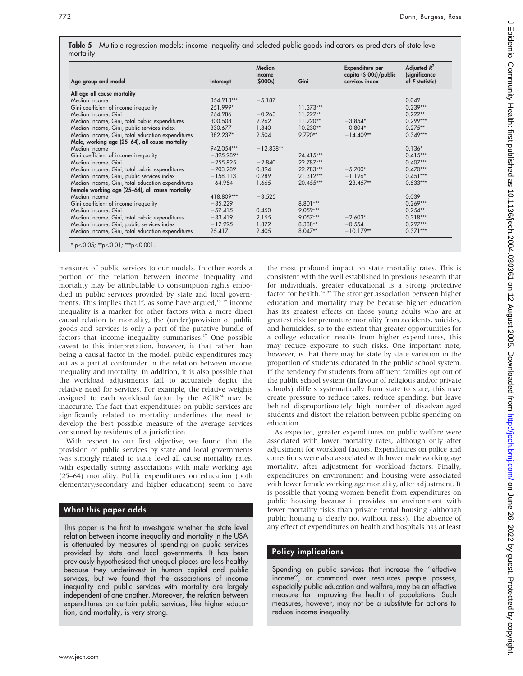Table 5 Multiple regression models: income inequality and selected public goods indicators as predictors of state level mortality

| Age group and model                               | Intercept   | Median<br>income<br>(5000s) | Gini        | Expenditure per<br>capita (\$ 00s)/public<br>services index | Adjusted $R^2$<br>(significance<br>of F statistic) |
|---------------------------------------------------|-------------|-----------------------------|-------------|-------------------------------------------------------------|----------------------------------------------------|
| All age all cause mortality                       |             |                             |             |                                                             |                                                    |
| Median income                                     | 854.913***  | $-5.187$                    |             |                                                             | 0.049                                              |
| Gini coefficient of income inequality             | 251.999*    |                             | 11.373***   |                                                             | $0.239***$                                         |
| Median income, Gini                               | 264.986     | $-0.263$                    | $11.222**$  |                                                             | $0.222**$                                          |
| Median income, Gini, total public expenditures    | 300.508     | 2.262                       | $11.220**$  | $-3.854*$                                                   | $0.299***$                                         |
| Median income, Gini, public services index        | 330.677     | 1.840                       | $10.230**$  | $-0.804*$                                                   | $0.275**$                                          |
| Median income, Gini, total education expenditures | 382.237*    | 2.504                       | $9.790**$   | $-14.409**$                                                 | $0.349***$                                         |
| Male, working age (25-64), all cause mortality    |             |                             |             |                                                             |                                                    |
| Median income                                     | 942.054***  | $-12.838**$                 |             |                                                             | $0.136*$                                           |
| Gini coefficient of income inequality             | $-395.989*$ |                             | $24.415***$ |                                                             | $0.415***$                                         |
| Median income, Gini                               | $-255.825$  | $-2.840$                    | 22.787***   |                                                             | $0.407***$                                         |
| Median income, Gini, total public expenditures    | $-203.289$  | 0.894                       | 22.783***   | $-5.700*$                                                   | $0.470***$                                         |
| Median income, Gini, public services index        | $-158.113$  | 0.289                       | $21.312***$ | $-1.196*$                                                   | $0.451***$                                         |
| Median income, Gini, total education expenditures | $-64.954$   | 1.665                       | 20.455***   | $-23.457**$                                                 | $0.533***$                                         |
| Female working age (25-64), all cause mortality   |             |                             |             |                                                             |                                                    |
| Median income                                     | 418.809***  | $-3.525$                    |             |                                                             | 0.039                                              |
| Gini coefficient of income inequality             | $-35.229$   |                             | $8.801***$  |                                                             | $0.269***$                                         |
| Median income, Gini                               | $-57.415$   | 0.450                       | $9.059***$  |                                                             | $0.254**$                                          |
| Median income, Gini, total public expenditures    | $-33.419$   | 2.155                       | $9.057***$  | $-2.603*$                                                   | $0.318***$                                         |
| Median income, Gini, public services index        | $-12.995$   | 1.872                       | 8.388**     | $-0.554$                                                    | $0.297***$                                         |
| Median income, Gini, total education expenditures | 25.417      | 2.405                       | $8.047**$   | $-10.179**$                                                 | $0.371***$                                         |

measures of public services to our models. In other words a portion of the relation between income inequality and mortality may be attributable to consumption rights embodied in public services provided by state and local governments. This implies that if, as some have argued,<sup>13-17</sup> income inequality is a marker for other factors with a more direct causal relation to mortality, the (under)provision of public goods and services is only a part of the putative bundle of factors that income inequality summarises.<sup>17</sup> One possible caveat to this interpretation, however, is that rather than being a causal factor in the model, public expenditures may act as a partial confounder in the relation between income inequality and mortality. In addition, it is also possible that the workload adjustments fail to accurately depict the relative need for services. For example, the relative weights assigned to each workload factor by the  $ACIR<sup>24</sup>$  may be inaccurate. The fact that expenditures on public services are significantly related to mortality underlines the need to develop the best possible measure of the average services consumed by residents of a jurisdiction.

With respect to our first objective, we found that the provision of public services by state and local governments was strongly related to state level all cause mortality rates, with especially strong associations with male working age (25–64) mortality. Public expenditures on education (both elementary/secondary and higher education) seem to have

## What this paper adds

This paper is the first to investigate whether the state level relation between income inequality and mortality in the USA is attenuated by measures of spending on public services provided by state and local governments. It has been previously hypothesised that unequal places are less healthy because they underinvest in human capital and public services, but we found that the associations of income inequality and public services with mortality are largely independent of one another. Moreover, the relation between expenditures on certain public services, like higher education, and mortality, is very strong.

the most profound impact on state mortality rates. This is consistent with the well established in previous research that for individuals, greater educational is a strong protective factor for health.<sup>36</sup> <sup>37</sup> The stronger association between higher education and mortality may be because higher education has its greatest effects on those young adults who are at greatest risk for premature mortality from accidents, suicides, and homicides, so to the extent that greater opportunities for a college education results from higher expenditures, this may reduce exposure to such risks. One important note, however, is that there may be state by state variation in the proportion of students educated in the public school system. If the tendency for students from affluent families opt out of the public school system (in favour of religious and/or private schools) differs systematically from state to state, this may create pressure to reduce taxes, reduce spending, but leave behind disproportionately high number of disadvantaged students and distort the relation between public spending on education.

As expected, greater expenditures on public welfare were associated with lower mortality rates, although only after adjustment for workload factors. Expenditures on police and corrections were also associated with lower male working age mortality, after adjustment for workload factors. Finally, expenditures on environment and housing were associated with lower female working age mortality, after adjustment. It is possible that young women benefit from expenditures on public housing because it provides an environment with fewer mortality risks than private rental housing (although public housing is clearly not without risks). The absence of any effect of expenditures on health and hospitals has at least

## Policy implications

Spending on public services that increase the ''effective income'', or command over resources people possess, especially public education and welfare, may be an effective measure for improving the health of populations. Such measures, however, may not be a substitute for actions to reduce income inequality.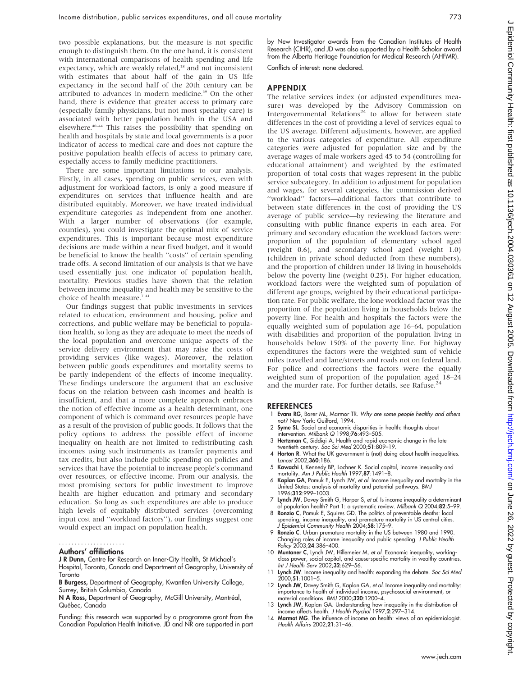two possible explanations, but the measure is not specific enough to distinguish them. On the one hand, it is consistent with international comparisons of health spending and life expectancy, which are weakly related,<sup>38</sup> and not inconsistent with estimates that about half of the gain in US life expectancy in the second half of the 20th century can be attributed to advances in modern medicine.<sup>39</sup> On the other hand, there is evidence that greater access to primary care (especially family physicians, but not most specialty care) is associated with better population health in the USA and elsewhere.<sup>40-44</sup> This raises the possibility that spending on health and hospitals by state and local governments is a poor indicator of access to medical care and does not capture the positive population health effects of access to primary care, especially access to family medicine practitioners.

There are some important limitations to our analysis. Firstly, in all cases, spending on public services, even with adjustment for workload factors, is only a good measure if expenditures on services that influence health and are distributed equitably. Moreover, we have treated individual expenditure categories as independent from one another. With a larger number of observations (for example, counties), you could investigate the optimal mix of service expenditures. This is important because most expenditure decisions are made within a near fixed budget, and it would be beneficial to know the health ''costs'' of certain spending trade offs. A second limitation of our analysis is that we have used essentially just one indicator of population health, mortality. Previous studies have shown that the relation between income inequality and health may be sensitive to the choice of health measure.<sup>741</sup>

Our findings suggest that public investments in services related to education, environment and housing, police and corrections, and public welfare may be beneficial to population health, so long as they are adequate to meet the needs of the local population and overcome unique aspects of the service delivery environment that may raise the costs of providing services (like wages). Moreover, the relation between public goods expenditures and mortality seems to be partly independent of the effects of income inequality. These findings underscore the argument that an exclusive focus on the relation between cash incomes and health is insufficient, and that a more complete approach embraces the notion of effective income as a health determinant, one component of which is command over resources people have as a result of the provision of public goods. It follows that the policy options to address the possible effect of income inequality on health are not limited to redistributing cash incomes using such instruments as transfer payments and tax credits, but also include public spending on policies and services that have the potential to increase people's command over resources, or effective income. From our analysis, the most promising sectors for public investment to improve health are higher education and primary and secondary education. So long as such expenditures are able to produce high levels of equitably distributed services (overcoming input cost and ''workload factors''), our findings suggest one would expect an impact on population health.

#### Authors' affiliations .....................

J R Dunn, Centre for Research on Inner-City Health, St Michael's

Hospital, Toronto, Canada and Department of Geography, University of **Toronto** 

B Burgess, Department of Geography, Kwantlen University College, Surrey, British Columbia, Canada

N A Ross, Department of Geography, McGill University, Montréal, Québec, Canada

Funding: this research was supported by a programme grant from the Canadian Population Health Initiative. JD and NR are supported in part by New Investigator awards from the Canadian Institutes of Health Research (CIHR), and JD was also supported by a Health Scholar award from the Alberta Heritage Foundation for Medical Research (AHFMR).

Conflicts of interest: none declared.

#### APPENDIX

The relative services index (or adjusted expenditures measure) was developed by the Advisory Commission on Intergovernmental  $Relations<sup>24</sup>$  to allow for between state differences in the cost of providing a level of services equal to the US average. Different adjustments, however, are applied to the various categories of expenditure. All expenditure categories were adjusted for population size and by the average wages of male workers aged 45 to 54 (controlling for educational attainment) and weighted by the estimated proportion of total costs that wages represent in the public service subcategory. In addition to adjustment for population and wages, for several categories, the commission derived ''workload'' factors—additional factors that contribute to between state differences in the cost of providing the US average of public service—by reviewing the literature and consulting with public finance experts in each area. For primary and secondary education the workload factors were: proportion of the population of elementary school aged (weight 0.6), and secondary school aged (weight 1.0) (children in private school deducted from these numbers), and the proportion of children under 18 living in households below the poverty line (weight 0.25). For higher education, workload factors were the weighted sum of population of different age groups, weighted by their educational participation rate. For public welfare, the lone workload factor was the proportion of the population living in households below the poverty line. For health and hospitals the factors were the equally weighted sum of population age 16–64, population with disabilities and proportion of the population living in households below 150% of the poverty line. For highway expenditures the factors were the weighted sum of vehicle miles travelled and lane/streets and roads not on federal land. For police and corrections the factors were the equally weighted sum of proportion of the population aged 18–24 and the murder rate. For further details, see Rafuse.<sup>24</sup>

#### **REFERENCES**

- 1 Evans RG, Barer ML, Marmor TR. Why are some people healthy and others not? New York: Guilford, 1994.
- 2 Syme SL. Social and economic disparities in health: thoughts about intervention. Milbank Q 1998;76:493–505.
- 3 Hertzman C, Siddiqi A. Health and rapid economic change in the late twentieth century. *Soc Sci Med* 2000;**51**:809–19.<br>4 **Horton R**. What the UK government is (not) doing about health inequalities.
- Lancet 2002;360:186.
- 5 Kawachi I, Kennedy BP, Lochner K. Social capital, income inequality and mortality. Am J Public Health 1997;87:1491–8.
- 6 Kaplan GA, Pamuk E, Lynch JW, et al. Income inequality and mortality in the United States: analysis of mortality and potential pathways. BMJ 1996;312:999–1003.
- 7 Lynch JW, Davey Smith G, Harper S, et al. Is income inequality a determinant of population health? Part 1: a systematic review. Milbank Q 2004;82:5–99.
- 8 Ronzio C, Pamuk E, Squires GD. The politics of preventable deaths: local spending, income inequality, and premature mortality in US central cities. J Epidemiol Community Health 2004;58:175–9.
- 9 Ronzio C. Urban premature mortality in the US between 1980 and 1990. Changing roles of income inequality and public spending. *J Public Health*<br>*Policy* 2003;**24**:386–400.
- 10 **Muntaner C**, Lynch JW, Hillemeier M, et al. Economic inequality, workingclass power, social capital, and cause-specific mortality in wealthy countries. Int J Health Serv 2002;32:629-56.
- 11 Lynch JW. Income inequality and health: expanding the debate. Soc Sci Med 2000;51:1001–5.
- 12 Lynch JW, Davey Smith G, Kaplan GA, et al. Income inequality and mortality: importance to health of individual income, psychosocial environment, or material conditions. BMJ 2000;320:1200–4.
- 13 Lynch JW, Kaplan GA. Understanding how inequality in the distribution of income affects health. J Health Psychol 1997;2:297–314.
- 14 Marmot MG. The influence of income on health: views of an epidemiologist. Health Affairs 2002;21:31–46.